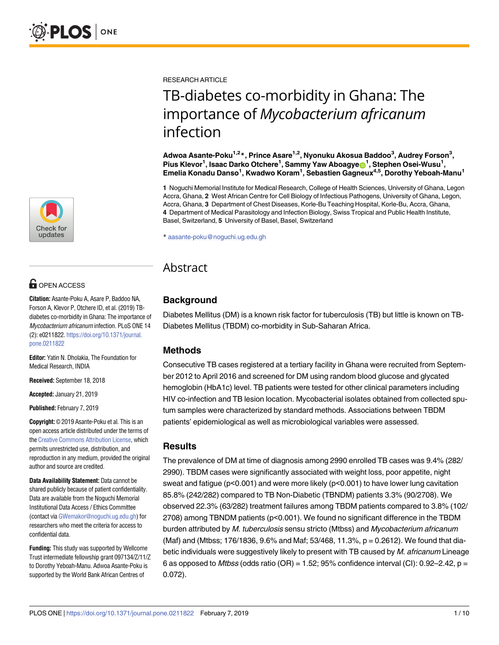

## **G** OPEN ACCESS

**Citation:** Asante-Poku A, Asare P, Baddoo NA, Forson A, Klevor P, Otchere ID, et al. (2019) TBdiabetes co-morbidity in Ghana: The importance of Mycobacterium africanum infection. PLoS ONE 14 (2): e0211822. [https://doi.org/10.1371/journal.](https://doi.org/10.1371/journal.pone.0211822) [pone.0211822](https://doi.org/10.1371/journal.pone.0211822)

**Editor:** Yatin N. Dholakia, The Foundation for Medical Research, INDIA

**Received:** September 18, 2018

**Accepted:** January 21, 2019

**Published:** February 7, 2019

**Copyright:** © 2019 Asante-Poku et al. This is an open access article distributed under the terms of the Creative [Commons](http://creativecommons.org/licenses/by/4.0/) Attribution License, which permits unrestricted use, distribution, and reproduction in any medium, provided the original author and source are credited.

**Data Availability Statement:** Data cannot be shared publicly because of patient confidentiality. Data are available from the Noguchi Memorial Institutional Data Access / Ethics Committee (contact via [GWemakor@noguchi.ug.edu.gh](mailto:GWemakor@noguchi.ug.edu.gh)) for researchers who meet the criteria for access to confidential data.

**Funding:** This study was supported by Wellcome Trust intermediate fellowship grant 097134/Z/11/Z to Dorothy Yeboah-Manu. Adwoa Asante-Poku is supported by the World Bank African Centres of

RESEARCH ARTICLE

# TB-diabetes co-morbidity in Ghana: The importance of *Mycobacterium africanum* infection

**Adwoa Asante-Poku1,2\*, Prince Asare1,2, Nyonuku Akosua Baddoo3 , Audrey Forson3 , Pius Klevor1 , Isaac Darko Otchere1 , Sammy Yaw Aboagye[ID1](http://orcid.org/0000-0001-7702-982X) , Stephen Osei-Wusu1 , Emelia Konadu Danso1 , Kwadwo Koram1 , Sebastien Gagneux4,5, Dorothy Yeboah-Manu1**

**1** Noguchi Memorial Institute for Medical Research, College of Health Sciences, University of Ghana, Legon Accra, Ghana, **2** West African Centre for Cell Biology of Infectious Pathogens, University of Ghana, Legon, Accra, Ghana, **3** Department of Chest Diseases, Korle-Bu Teaching Hospital, Korle-Bu, Accra, Ghana, **4** Department of Medical Parasitology and Infection Biology, Swiss Tropical and Public Health Institute, Basel, Switzerland, **5** University of Basel, Basel, Switzerland

\* aasante-poku@noguchi.ug.edu.gh

## Abstract

## **Background**

Diabetes Mellitus (DM) is a known risk factor for tuberculosis (TB) but little is known on TB-Diabetes Mellitus (TBDM) co-morbidity in Sub-Saharan Africa.

## **Methods**

Consecutive TB cases registered at a tertiary facility in Ghana were recruited from September 2012 to April 2016 and screened for DM using random blood glucose and glycated hemoglobin (HbA1c) level. TB patients were tested for other clinical parameters including HIV co-infection and TB lesion location. Mycobacterial isolates obtained from collected sputum samples were characterized by standard methods. Associations between TBDM patients' epidemiological as well as microbiological variables were assessed.

## **Results**

The prevalence of DM at time of diagnosis among 2990 enrolled TB cases was 9.4% (282/ 2990). TBDM cases were significantly associated with weight loss, poor appetite, night sweat and fatigue ( $p < 0.001$ ) and were more likely ( $p < 0.001$ ) to have lower lung cavitation 85.8% (242/282) compared to TB Non-Diabetic (TBNDM) patients 3.3% (90/2708). We observed 22.3% (63/282) treatment failures among TBDM patients compared to 3.8% (102/ 2708) among TBNDM patients (p<0.001). We found no significant difference in the TBDM burden attributed by M. tuberculosis sensu stricto (Mtbss) and Mycobacterium africanum (Maf) and (Mtbss; 176/1836, 9.6% and Maf; 53/468, 11.3%, p = 0.2612). We found that diabetic individuals were suggestively likely to present with TB caused by M. africanum Lineage 6 as opposed to Mtbss (odds ratio (OR) = 1.52; 95% confidence interval (CI): 0.92-2.42,  $p =$ 0.072).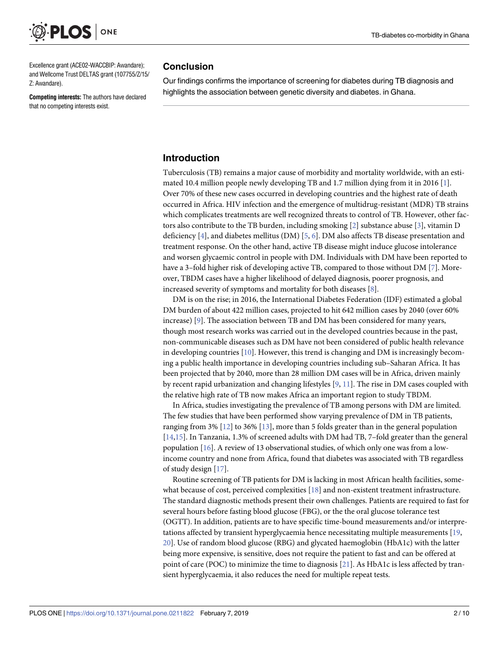<span id="page-1-0"></span>

Excellence grant (ACE02-WACCBIP: Awandare); and Wellcome Trust DELTAS grant (107755/Z/15/ Z: Awandare).

**Competing interests:** The authors have declared that no competing interests exist.

#### **Conclusion**

Our findings confirms the importance of screening for diabetes during TB diagnosis and highlights the association between genetic diversity and diabetes. in Ghana.

## **Introduction**

Tuberculosis (TB) remains a major cause of morbidity and mortality worldwide, with an estimated 10.4 million people newly developing TB and 1.7 million dying from it in 2016 [[1\]](#page-7-0). Over 70% of these new cases occurred in developing countries and the highest rate of death occurred in Africa. HIV infection and the emergence of multidrug-resistant (MDR) TB strains which complicates treatments are well recognized threats to control of TB. However, other factors also contribute to the TB burden, including smoking [\[2](#page-7-0)] substance abuse [[3\]](#page-7-0), vitamin D deficiency [\[4\]](#page-8-0), and diabetes mellitus (DM) [\[5](#page-8-0), [6](#page-8-0)]. DM also affects TB disease presentation and treatment response. On the other hand, active TB disease might induce glucose intolerance and worsen glycaemic control in people with DM. Individuals with DM have been reported to have a 3–fold higher risk of developing active TB, compared to those without DM [\[7\]](#page-8-0). Moreover, TBDM cases have a higher likelihood of delayed diagnosis, poorer prognosis, and increased severity of symptoms and mortality for both diseases [[8](#page-8-0)].

DM is on the rise; in 2016, the International Diabetes Federation (IDF) estimated a global DM burden of about 422 million cases, projected to hit 642 million cases by 2040 (over 60% increase) [[9](#page-8-0)]. The association between TB and DM has been considered for many years, though most research works was carried out in the developed countries because in the past, non-communicable diseases such as DM have not been considered of public health relevance in developing countries [\[10\]](#page-8-0). However, this trend is changing and DM is increasingly becoming a public health importance in developing countries including sub–Saharan Africa. It has been projected that by 2040, more than 28 million DM cases will be in Africa, driven mainly by recent rapid urbanization and changing lifestyles [\[9](#page-8-0), [11](#page-8-0)]. The rise in DM cases coupled with the relative high rate of TB now makes Africa an important region to study TBDM.

In Africa, studies investigating the prevalence of TB among persons with DM are limited. The few studies that have been performed show varying prevalence of DM in TB patients, ranging from 3% [\[12\]](#page-8-0) to 36% [\[13\]](#page-8-0), more than 5 folds greater than in the general population [\[14,15\]](#page-8-0). In Tanzania, 1.3% of screened adults with DM had TB, 7–fold greater than the general population  $[16]$ . A review of 13 observational studies, of which only one was from a lowincome country and none from Africa, found that diabetes was associated with TB regardless of study design [[17](#page-8-0)].

Routine screening of TB patients for DM is lacking in most African health facilities, somewhat because of cost, perceived complexities [[18](#page-8-0)] and non-existent treatment infrastructure. The standard diagnostic methods present their own challenges. Patients are required to fast for several hours before fasting blood glucose (FBG), or the the oral glucose tolerance test (OGTT). In addition, patients are to have specific time-bound measurements and/or interpretations affected by transient hyperglycaemia hence necessitating multiple measurements [\[19,](#page-8-0) [20\]](#page-8-0). Use of random blood glucose (RBG) and glycated haemoglobin (HbA1c) with the latter being more expensive, is sensitive, does not require the patient to fast and can be offered at point of care (POC) to minimize the time to diagnosis [\[21\]](#page-8-0). As HbA1c is less affected by transient hyperglycaemia, it also reduces the need for multiple repeat tests.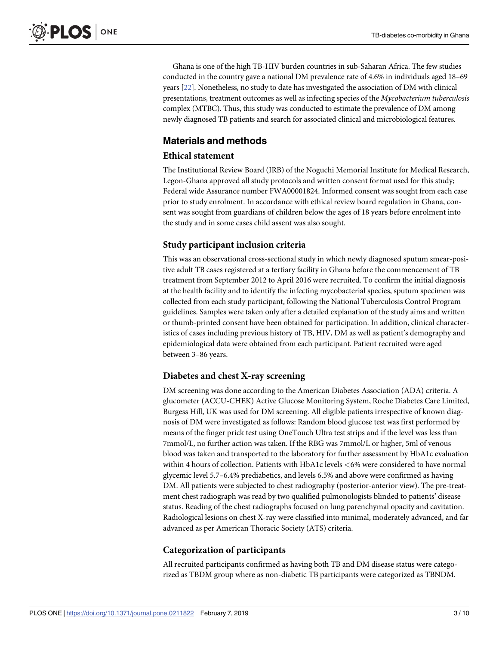<span id="page-2-0"></span>Ghana is one of the high TB-HIV burden countries in sub-Saharan Africa. The few studies conducted in the country gave a national DM prevalence rate of 4.6% in individuals aged 18–69 years [[22](#page-8-0)]. Nonetheless, no study to date has investigated the association of DM with clinical presentations, treatment outcomes as well as infecting species of the *Mycobacterium tuberculosis* complex (MTBC). Thus, this study was conducted to estimate the prevalence of DM among newly diagnosed TB patients and search for associated clinical and microbiological features.

## **Materials and methods**

## **Ethical statement**

The Institutional Review Board (IRB) of the Noguchi Memorial Institute for Medical Research, Legon-Ghana approved all study protocols and written consent format used for this study; Federal wide Assurance number FWA00001824. Informed consent was sought from each case prior to study enrolment. In accordance with ethical review board regulation in Ghana, consent was sought from guardians of children below the ages of 18 years before enrolment into the study and in some cases child assent was also sought.

## **Study participant inclusion criteria**

This was an observational cross-sectional study in which newly diagnosed sputum smear-positive adult TB cases registered at a tertiary facility in Ghana before the commencement of TB treatment from September 2012 to April 2016 were recruited. To confirm the initial diagnosis at the health facility and to identify the infecting mycobacterial species, sputum specimen was collected from each study participant, following the National Tuberculosis Control Program guidelines. Samples were taken only after a detailed explanation of the study aims and written or thumb-printed consent have been obtained for participation. In addition, clinical characteristics of cases including previous history of TB, HIV, DM as well as patient's demography and epidemiological data were obtained from each participant. Patient recruited were aged between 3–86 years.

## **Diabetes and chest X-ray screening**

DM screening was done according to the American Diabetes Association (ADA) criteria. A glucometer (ACCU-CHEK) Active Glucose Monitoring System, Roche Diabetes Care Limited, Burgess Hill, UK was used for DM screening. All eligible patients irrespective of known diagnosis of DM were investigated as follows: Random blood glucose test was first performed by means of the finger prick test using OneTouch Ultra test strips and if the level was less than 7mmol/L, no further action was taken. If the RBG was 7mmol/L or higher, 5ml of venous blood was taken and transported to the laboratory for further assessment by HbA1c evaluation within 4 hours of collection. Patients with HbA1c levels *<*6% were considered to have normal glycemic level 5.7–6.4% prediabetics, and levels 6.5% and above were confirmed as having DM. All patients were subjected to chest radiography (posterior-anterior view). The pre-treatment chest radiograph was read by two qualified pulmonologists blinded to patients' disease status. Reading of the chest radiographs focused on lung parenchymal opacity and cavitation. Radiological lesions on chest X-ray were classified into minimal, moderately advanced, and far advanced as per American Thoracic Society (ATS) criteria.

## **Categorization of participants**

All recruited participants confirmed as having both TB and DM disease status were categorized as TBDM group where as non-diabetic TB participants were categorized as TBNDM.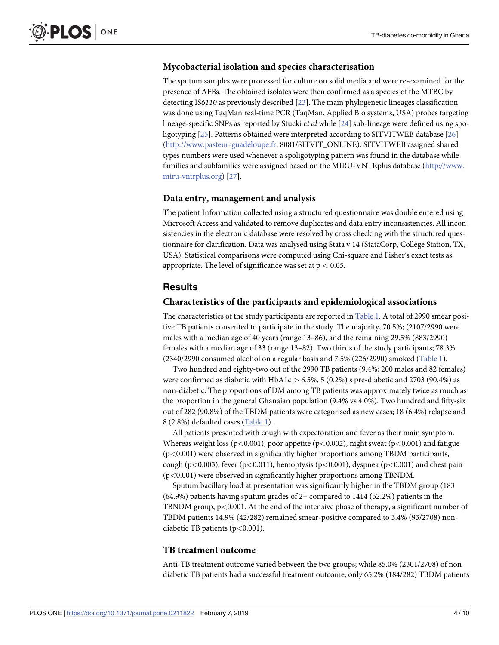#### <span id="page-3-0"></span>**Mycobacterial isolation and species characterisation**

The sputum samples were processed for culture on solid media and were re-examined for the presence of AFBs. The obtained isolates were then confirmed as a species of the MTBC by detecting IS*6110* as previously described [[23](#page-8-0)]. The main phylogenetic lineages classification was done using TaqMan real-time PCR (TaqMan, Applied Bio systems, USA) probes targeting lineage-specific SNPs as reported by Stucki *et al* while [\[24\]](#page-8-0) sub-lineage were defined using spoligotyping [\[25](#page-9-0)]. Patterns obtained were interpreted according to SITVITWEB database [[26](#page-9-0)] [\(http://www.pasteur-guadeloupe.fr](http://www.pasteur-guadeloupe.fr/): 8081/SITVIT\_ONLINE). SITVITWEB assigned shared types numbers were used whenever a spoligotyping pattern was found in the database while families and subfamilies were assigned based on the MIRU-VNTRplus database ([http://www.](http://www.miru-vntrplus.org/) [miru-vntrplus.org](http://www.miru-vntrplus.org/)) [\[27\]](#page-9-0).

#### **Data entry, management and analysis**

The patient Information collected using a structured questionnaire was double entered using Microsoft Access and validated to remove duplicates and data entry inconsistencies. All inconsistencies in the electronic database were resolved by cross checking with the structured questionnaire for clarification. Data was analysed using Stata v.14 (StataCorp, College Station, TX, USA). Statistical comparisons were computed using Chi-square and Fisher's exact tests as appropriate. The level of significance was set at p *<* 0.05.

### **Results**

#### **Characteristics of the participants and epidemiological associations**

The characteristics of the study participants are reported in [Table](#page-4-0) 1. A total of 2990 smear positive TB patients consented to participate in the study. The majority, 70.5%; (2107/2990 were males with a median age of 40 years (range 13–86), and the remaining 29.5% (883/2990) females with a median age of 33 (range 13–82). Two thirds of the study participants; 78.3% (2340/2990 consumed alcohol on a regular basis and 7.5% (226/2990) smoked [\(Table](#page-4-0) 1).

Two hundred and eighty-two out of the 2990 TB patients (9.4%; 200 males and 82 females) were confirmed as diabetic with HbA1c *>* 6.5%, 5 (0.2%) s pre-diabetic and 2703 (90.4%) as non-diabetic. The proportions of DM among TB patients was approximately twice as much as the proportion in the general Ghanaian population (9.4% vs 4.0%). Two hundred and fifty-six out of 282 (90.8%) of the TBDM patients were categorised as new cases; 18 (6.4%) relapse and 8 (2.8%) defaulted cases [\(Table](#page-4-0) 1).

All patients presented with cough with expectoration and fever as their main symptom. Whereas weight loss (p*<*0.001), poor appetite (p*<*0.002), night sweat (p*<*0.001) and fatigue (p*<*0.001) were observed in significantly higher proportions among TBDM participants, cough (p*<*0.003), fever (p*<*0.011), hemoptysis (p*<*0.001), dyspnea (p*<*0.001) and chest pain (p*<*0.001) were observed in significantly higher proportions among TBNDM.

Sputum bacillary load at presentation was significantly higher in the TBDM group (183 (64.9%) patients having sputum grades of 2+ compared to 1414 (52.2%) patients in the TBNDM group, p*<*0.001. At the end of the intensive phase of therapy, a significant number of TBDM patients 14.9% (42/282) remained smear-positive compared to 3.4% (93/2708) nondiabetic TB patients (p*<*0.001).

#### **TB treatment outcome**

Anti-TB treatment outcome varied between the two groups; while 85.0% (2301/2708) of nondiabetic TB patients had a successful treatment outcome, only 65.2% (184/282) TBDM patients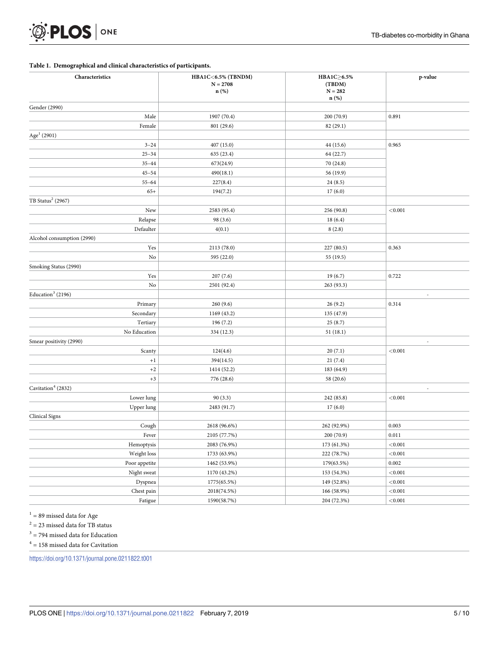<span id="page-4-0"></span>

#### **[Table](#page-3-0) 1. Demographical and clinical characteristics of participants.**

| Characteristics                | HBA1C<6.5% (TBNDM)<br>$N = 2708$<br>$n$ (%) | HBA1C≥6.5%<br>(TBDM)<br>$N = 282$<br>n(%) | p-value                  |  |
|--------------------------------|---------------------------------------------|-------------------------------------------|--------------------------|--|
| Gender (2990)                  |                                             |                                           |                          |  |
| Male                           | 1907 (70.4)                                 | 200 (70.9)                                | 0.891                    |  |
| Female                         | 801 (29.6)                                  | 82 (29.1)                                 |                          |  |
| Age <sup>1</sup> (2901)        |                                             |                                           |                          |  |
| $3 - 24$                       | 407 (15.0)                                  | 44 (15.6)                                 | 0.965                    |  |
| $25 - 34$                      | 635 (23.4)                                  | 64 (22.7)                                 |                          |  |
| $35 - 44$                      | 673(24.9)                                   | 70 (24.8)                                 |                          |  |
| $45 - 54$                      | 490(18.1)                                   | 56 (19.9)                                 |                          |  |
| $55 - 64$                      | 227(8.4)                                    | 24(8.5)                                   |                          |  |
| $65+$                          | 194(7.2)                                    | 17(6.0)                                   |                          |  |
| TB Status <sup>2</sup> (2967)  |                                             |                                           |                          |  |
| New                            | 2583 (95.4)                                 | 256 (90.8)                                | < 0.001                  |  |
| Relapse                        | 98 (3.6)                                    | 18(6.4)                                   |                          |  |
| Defaulter                      | 4(0.1)                                      | 8(2.8)                                    |                          |  |
| Alcohol consumption (2990)     |                                             |                                           |                          |  |
| Yes                            | 2113 (78.0)                                 | 227 (80.5)                                | 0.363                    |  |
| No                             | 595 (22.0)                                  | 55 (19.5)                                 |                          |  |
| Smoking Status (2990)          |                                             |                                           |                          |  |
| Yes                            | 207(7.6)                                    | 19(6.7)                                   | 0.722                    |  |
| No                             | 2501 (92.4)                                 | 263 (93.3)                                |                          |  |
| Education <sup>3</sup> (2196)  |                                             |                                           | ä,                       |  |
| Primary                        | 260(9.6)                                    | 26(9.2)                                   | 0.314                    |  |
| Secondary                      | 1169 (43.2)                                 | 135 (47.9)                                |                          |  |
| Tertiary                       | 196 (7.2)                                   | 25(8.7)                                   |                          |  |
| No Education                   | 334 (12.3)                                  | 51(18.1)                                  |                          |  |
| Smear positivity (2990)        |                                             |                                           | $\overline{\phantom{a}}$ |  |
| Scanty                         | 124(4.6)                                    | 20(7.1)                                   | < 0.001                  |  |
| $+1$                           | 394(14.5)                                   | 21(7.4)                                   |                          |  |
| $+2$                           | 1414 (52.2)                                 | 183 (64.9)                                |                          |  |
| $+3$                           | 776 (28.6)                                  | 58 (20.6)                                 |                          |  |
| Cavitation <sup>4</sup> (2832) |                                             |                                           |                          |  |
| Lower lung                     | 90(3.3)                                     | 242 (85.8)                                | < 0.001                  |  |
| Upper lung                     | 2483 (91.7)                                 | 17(6.0)                                   |                          |  |
| <b>Clinical Signs</b>          |                                             |                                           |                          |  |
| Cough                          | 2618 (96.6%)                                | 262 (92.9%)                               | 0.003                    |  |
| Fever                          | 2105 (77.7%)                                | 200(70.9)                                 | 0.011                    |  |
| Hemoptysis                     | 2083 (76.9%)                                | 173 (61.3%)                               | $<\!0.001$               |  |
| Weight loss                    | 1733 (63.9%)                                | 222 (78.7%)                               | $<\!0.001$               |  |
| Poor appetite                  | 1462 (53.9%)                                | 179(63.5%)                                | $0.002\,$                |  |
| Night sweat                    | 1170 (43.2%)                                | 153 (54.3%)                               | $<\!0.001$               |  |
| Dyspnea                        | 1775(65.5%)                                 | 149 (52.8%)                               | $<\!\!0.001$             |  |
| Chest pain                     | 2018(74.5%)                                 | 166 (58.9%)                               | $<\!\!0.001$             |  |
| Fatigue                        | 1590(58.7%)                                 | 204 (72.3%)                               | $<\!\!0.001$             |  |

 $^{1}$  = 89 missed data for Age

 $^2$  = 23 missed data for TB status

 $^3$  = 794 missed data for Education

 $^4$  = 158 missed data for Cavitation

<https://doi.org/10.1371/journal.pone.0211822.t001>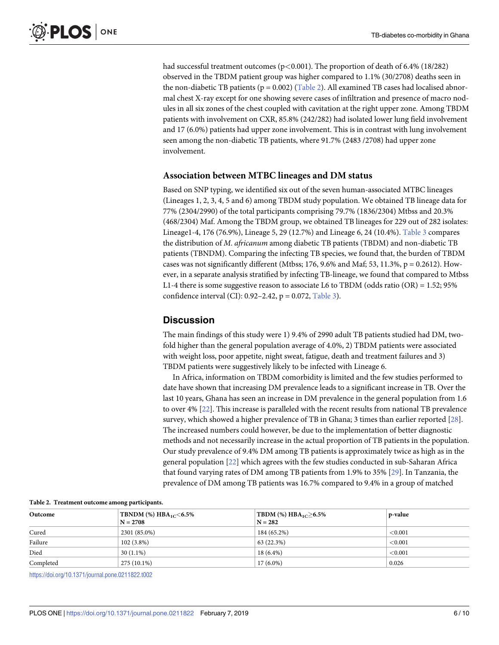<span id="page-5-0"></span>had successful treatment outcomes (p*<*0.001). The proportion of death of 6.4% (18/282) observed in the TBDM patient group was higher compared to 1.1% (30/2708) deaths seen in the non-diabetic TB patients ( $p = 0.002$ ) (Table 2). All examined TB cases had localised abnormal chest X-ray except for one showing severe cases of infiltration and presence of macro nodules in all six zones of the chest coupled with cavitation at the right upper zone. Among TBDM patients with involvement on CXR, 85.8% (242/282) had isolated lower lung field involvement and 17 (6.0%) patients had upper zone involvement. This is in contrast with lung involvement seen among the non-diabetic TB patients, where 91.7% (2483 /2708) had upper zone involvement.

#### **Association between MTBC lineages and DM status**

Based on SNP typing, we identified six out of the seven human-associated MTBC lineages (Lineages 1, 2, 3, 4, 5 and 6) among TBDM study population. We obtained TB lineage data for 77% (2304/2990) of the total participants comprising 79.7% (1836/2304) Mtbss and 20.3% (468/2304) Maf. Among the TBDM group, we obtained TB lineages for 229 out of 282 isolates: Lineage1-4, 176 (76.9%), Lineage 5, 29 (12.7%) and Lineage 6, 24 (10.4%). [Table](#page-6-0) 3 compares the distribution of *M*. *africanum* among diabetic TB patients (TBDM) and non-diabetic TB patients (TBNDM). Comparing the infecting TB species, we found that, the burden of TBDM cases was not significantly different (Mtbss; 176, 9.6% and Maf; 53, 11.3%,  $p = 0.2612$ ). However, in a separate analysis stratified by infecting TB-lineage, we found that compared to Mtbss L1-4 there is some suggestive reason to associate L6 to TBDM (odds ratio (OR) = 1.52; 95% confidence interval (CI):  $0.92-2.42$ ,  $p = 0.072$ , [Table](#page-6-0) 3).

## **Discussion**

The main findings of this study were 1) 9.4% of 2990 adult TB patients studied had DM, twofold higher than the general population average of 4.0%, 2) TBDM patients were associated with weight loss, poor appetite, night sweat, fatigue, death and treatment failures and 3) TBDM patients were suggestively likely to be infected with Lineage 6.

In Africa, information on TBDM comorbidity is limited and the few studies performed to date have shown that increasing DM prevalence leads to a significant increase in TB. Over the last 10 years, Ghana has seen an increase in DM prevalence in the general population from 1.6 to over 4% [\[22](#page-8-0)]. This increase is paralleled with the recent results from national TB prevalence survey, which showed a higher prevalence of TB in Ghana; 3 times than earlier reported [\[28\]](#page-9-0). The increased numbers could however, be due to the implementation of better diagnostic methods and not necessarily increase in the actual proportion of TB patients in the population. Our study prevalence of 9.4% DM among TB patients is approximately twice as high as in the general population [[22](#page-8-0)] which agrees with the few studies conducted in sub-Saharan Africa that found varying rates of DM among TB patients from 1.9% to 35% [\[29\]](#page-9-0). In Tanzania, the prevalence of DM among TB patients was 16.7% compared to 9.4% in a group of matched

| Twore 2. Treatment currently among participants. |                                                   |                                                       |         |  |  |  |
|--------------------------------------------------|---------------------------------------------------|-------------------------------------------------------|---------|--|--|--|
| Outcome                                          | <b>TBNDM</b> (%) $HBA_{1C} < 6.5\%$<br>$N = 2708$ | TBDM $\frac{\%}{\text{HBA}_{1C}}$ > 6.5%<br>$N = 282$ | p-value |  |  |  |
| Cured                                            | 2301 (85.0%)                                      | 184 (65.2%)                                           | < 0.001 |  |  |  |
| Failure                                          | $102(3.8\%)$                                      | 63 (22.3%)                                            | < 0.001 |  |  |  |
| Died                                             | $30(1.1\%)$                                       | $18(6.4\%)$                                           | < 0.001 |  |  |  |
| Completed                                        | 275 (10.1%)                                       | $17(6.0\%)$                                           | 0.026   |  |  |  |

#### **Table 2. Treatment outcome among participants.**

<https://doi.org/10.1371/journal.pone.0211822.t002>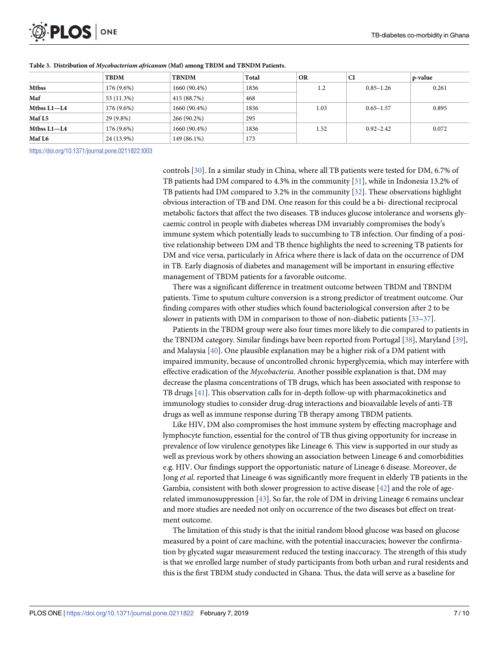<span id="page-6-0"></span>

|                  | <b>TBDM</b> | <b>TBNDM</b> | Total | <b>OR</b> | <b>CI</b>     | p-value |
|------------------|-------------|--------------|-------|-----------|---------------|---------|
| <b>Mtbss</b>     | 176 (9.6%)  | 1660 (90.4%) | 1836  | 1.2       | $0.85 - 1.26$ | 0.261   |
| Maf              | 53 (11.3%)  | 415 (88.7%)  | 468   |           |               |         |
| Mtbss L1-L4      | 176 (9.6%)  | 1660 (90.4%) | 1836  | 1.03      | $0.65 - 1.57$ | 0.895   |
| Maf L5           | 29 (9.8%)   | 266 (90.2%)  | 295   |           |               |         |
| $M$ tbss $L1-L4$ | 176 (9.6%)  | 1660 (90.4%) | 1836  | 1.52      | $0.92 - 2.42$ | 0.072   |
| Maf L6           | 24 (13.9%)  | 149 (86.1%)  | 173   |           |               |         |

#### **[Table](#page-5-0) 3. Distribution of** *Mycobacterium africanum* **(Maf) among TBDM and TBNDM Patients.**

<https://doi.org/10.1371/journal.pone.0211822.t003>

controls [\[30\]](#page-9-0). In a similar study in China, where all TB patients were tested for DM, 6.7% of TB patients had DM compared to 4.3% in the community [[31](#page-9-0)], while in Indonesia 13.2% of TB patients had DM compared to 3.2% in the community [[32](#page-9-0)]. These observations highlight obvious interaction of TB and DM. One reason for this could be a bi- directional reciprocal metabolic factors that affect the two diseases. TB induces glucose intolerance and worsens glycaemic control in people with diabetes whereas DM invariably compromises the body's immune system which potentially leads to succumbing to TB infection. Our finding of a positive relationship between DM and TB thence highlights the need to screening TB patients for DM and vice versa, particularly in Africa where there is lack of data on the occurrence of DM in TB. Early diagnosis of diabetes and management will be important in ensuring effective management of TBDM patients for a favorable outcome.

There was a significant difference in treatment outcome between TBDM and TBNDM patients. Time to sputum culture conversion is a strong predictor of treatment outcome. Our finding compares with other studies which found bacteriological conversion after 2 to be slower in patients with DM in comparison to those of non-diabetic patients [[33](#page-9-0)–[37\]](#page-9-0).

Patients in the TBDM group were also four times more likely to die compared to patients in the TBNDM category. Similar findings have been reported from Portugal [[38](#page-9-0)], Maryland [[39](#page-9-0)], and Malaysia [\[40\]](#page-9-0). One plausible explanation may be a higher risk of a DM patient with impaired immunity, because of uncontrolled chronic hyperglycemia, which may interfere with effective eradication of the *Mycobacteria*. Another possible explanation is that, DM may decrease the plasma concentrations of TB drugs, which has been associated with response to TB drugs [\[41\]](#page-9-0). This observation calls for in-depth follow-up with pharmacokinetics and immunology studies to consider drug-drug interactions and bioavailable levels of anti-TB drugs as well as immune response during TB therapy among TBDM patients.

Like HIV, DM also compromises the host immune system by effecting macrophage and lymphocyte function, essential for the control of TB thus giving opportunity for increase in prevalence of low virulence genotypes like Lineage 6. This view is supported in our study as well as previous work by others showing an association between Lineage 6 and comorbidities e.g. HIV. Our findings support the opportunistic nature of Lineage 6 disease. Moreover, de Jong *et al*. reported that Lineage 6 was significantly more frequent in elderly TB patients in the Gambia, consistent with both slower progression to active disease [[42](#page-9-0)] and the role of agerelated immunosuppression [[43](#page-9-0)]. So far, the role of DM in driving Lineage 6 remains unclear and more studies are needed not only on occurrence of the two diseases but effect on treatment outcome.

The limitation of this study is that the initial random blood glucose was based on glucose measured by a point of care machine, with the potential inaccuracies; however the confirmation by glycated sugar measurement reduced the testing inaccuracy. The strength of this study is that we enrolled large number of study participants from both urban and rural residents and this is the first TBDM study conducted in Ghana. Thus, the data will serve as a baseline for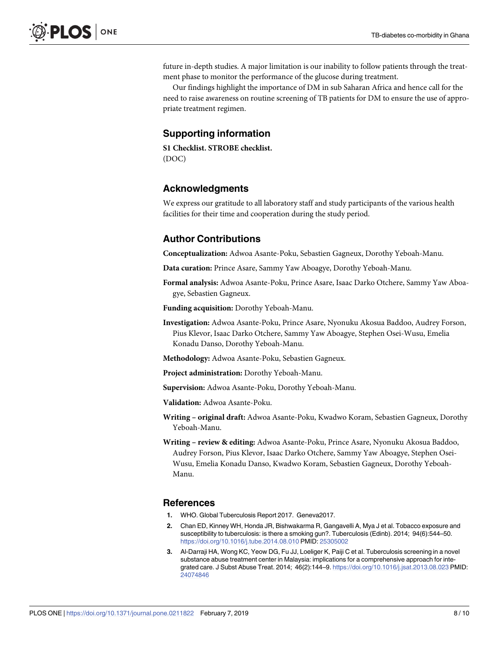<span id="page-7-0"></span>future in-depth studies. A major limitation is our inability to follow patients through the treatment phase to monitor the performance of the glucose during treatment.

Our findings highlight the importance of DM in sub Saharan Africa and hence call for the need to raise awareness on routine screening of TB patients for DM to ensure the use of appropriate treatment regimen.

## **Supporting information**

**S1 [Checklist.](http://www.plosone.org/article/fetchSingleRepresentation.action?uri=info:doi/10.1371/journal.pone.0211822.s001) STROBE checklist.** (DOC)

## **Acknowledgments**

We express our gratitude to all laboratory staff and study participants of the various health facilities for their time and cooperation during the study period.

## **Author Contributions**

**Conceptualization:** Adwoa Asante-Poku, Sebastien Gagneux, Dorothy Yeboah-Manu.

**Data curation:** Prince Asare, Sammy Yaw Aboagye, Dorothy Yeboah-Manu.

**Formal analysis:** Adwoa Asante-Poku, Prince Asare, Isaac Darko Otchere, Sammy Yaw Aboagye, Sebastien Gagneux.

**Funding acquisition:** Dorothy Yeboah-Manu.

**Investigation:** Adwoa Asante-Poku, Prince Asare, Nyonuku Akosua Baddoo, Audrey Forson, Pius Klevor, Isaac Darko Otchere, Sammy Yaw Aboagye, Stephen Osei-Wusu, Emelia Konadu Danso, Dorothy Yeboah-Manu.

**Methodology:** Adwoa Asante-Poku, Sebastien Gagneux.

**Project administration:** Dorothy Yeboah-Manu.

**Supervision:** Adwoa Asante-Poku, Dorothy Yeboah-Manu.

**Validation:** Adwoa Asante-Poku.

- **Writing – original draft:** Adwoa Asante-Poku, Kwadwo Koram, Sebastien Gagneux, Dorothy Yeboah-Manu.
- **Writing – review & editing:** Adwoa Asante-Poku, Prince Asare, Nyonuku Akosua Baddoo, Audrey Forson, Pius Klevor, Isaac Darko Otchere, Sammy Yaw Aboagye, Stephen Osei-Wusu, Emelia Konadu Danso, Kwadwo Koram, Sebastien Gagneux, Dorothy Yeboah-Manu.

#### **References**

- **[1](#page-1-0).** WHO. Global Tuberculosis Report 2017. Geneva2017.
- **[2](#page-1-0).** Chan ED, Kinney WH, Honda JR, Bishwakarma R, Gangavelli A, Mya J et al. Tobacco exposure and susceptibility to tuberculosis: is there a smoking gun?. Tuberculosis (Edinb). 2014; 94(6):544–50. <https://doi.org/10.1016/j.tube.2014.08.010> PMID: [25305002](http://www.ncbi.nlm.nih.gov/pubmed/25305002)
- **[3](#page-1-0).** Al-Darraji HA, Wong KC, Yeow DG, Fu JJ, Loeliger K, Paiji C et al. Tuberculosis screening in a novel substance abuse treatment center in Malaysia: implications for a comprehensive approach for integrated care. J Subst Abuse Treat. 2014; 46(2):144–9. <https://doi.org/10.1016/j.jsat.2013.08.023> PMID: [24074846](http://www.ncbi.nlm.nih.gov/pubmed/24074846)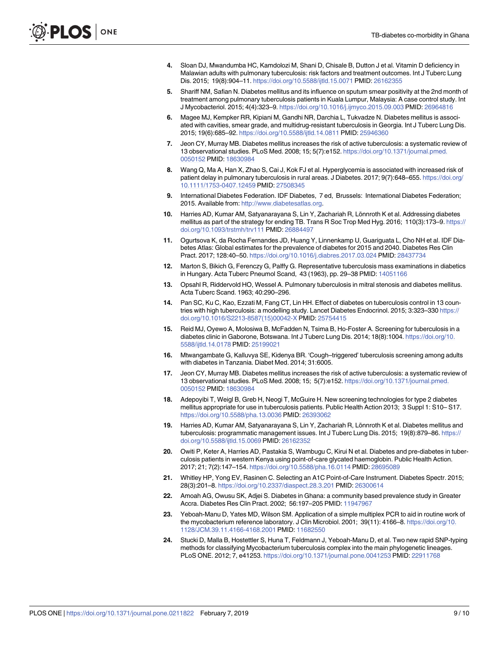- <span id="page-8-0"></span>**[4](#page-1-0).** Sloan DJ, Mwandumba HC, Kamdolozi M, Shani D, Chisale B, Dutton J et al. Vitamin D deficiency in Malawian adults with pulmonary tuberculosis: risk factors and treatment outcomes. Int J Tuberc Lung Dis. 2015; 19(8):904–11. <https://doi.org/10.5588/ijtld.15.0071> PMID: [26162355](http://www.ncbi.nlm.nih.gov/pubmed/26162355)
- **[5](#page-1-0).** Shariff NM, Safian N. Diabetes mellitus and its influence on sputum smear positivity at the 2nd month of treatment among pulmonary tuberculosis patients in Kuala Lumpur, Malaysia: A case control study. Int J Mycobacteriol. 2015; 4(4):323–9. <https://doi.org/10.1016/j.ijmyco.2015.09.003> PMID: [26964816](http://www.ncbi.nlm.nih.gov/pubmed/26964816)
- **[6](#page-1-0).** Magee MJ, Kempker RR, Kipiani M, Gandhi NR, Darchia L, Tukvadze N. Diabetes mellitus is associated with cavities, smear grade, and multidrug-resistant tuberculosis in Georgia. Int J Tuberc Lung Dis. 2015; 19(6):685–92. <https://doi.org/10.5588/ijtld.14.0811> PMID: [25946360](http://www.ncbi.nlm.nih.gov/pubmed/25946360)
- **[7](#page-1-0).** Jeon CY, Murray MB. Diabetes mellitus increases the risk of active tuberculosis: a systematic review of 13 observational studies. PLoS Med. 2008; 15; 5(7):e152. [https://doi.org/10.1371/journal.pmed.](https://doi.org/10.1371/journal.pmed.0050152) [0050152](https://doi.org/10.1371/journal.pmed.0050152) PMID: [18630984](http://www.ncbi.nlm.nih.gov/pubmed/18630984)
- **[8](#page-1-0).** Wang Q, Ma A, Han X, Zhao S, Cai J, Kok FJ et al. Hyperglycemia is associated with increased risk of patient delay in pulmonary tuberculosis in rural areas. J Diabetes. 2017; 9(7):648–655. [https://doi.org/](https://doi.org/10.1111/1753-0407.12459) [10.1111/1753-0407.12459](https://doi.org/10.1111/1753-0407.12459) PMID: [27508345](http://www.ncbi.nlm.nih.gov/pubmed/27508345)
- **[9](#page-1-0).** International Diabetes Federation. IDF Diabetes, 7 ed, Brussels: International Diabetes Federation; 2015. Available from: <http://www.diabetesatlas.org>.
- [10](#page-1-0). Harries AD, Kumar AM, Satyanarayana S, Lin Y, Zachariah R, Lönnroth K et al. Addressing diabetes mellitus as part of the strategy for ending TB. Trans R Soc Trop Med Hyg. 2016; 110(3):173–9. [https://](https://doi.org/10.1093/trstmh/trv111) [doi.org/10.1093/trstmh/trv111](https://doi.org/10.1093/trstmh/trv111) PMID: [26884497](http://www.ncbi.nlm.nih.gov/pubmed/26884497)
- **[11](#page-1-0).** Ogurtsova K, da Rocha Fernandes JD, Huang Y, Linnenkamp U, Guariguata L, Cho NH et al. IDF Diabetes Atlas: Global estimates for the prevalence of diabetes for 2015 and 2040. Diabetes Res Clin Pract. 2017; 128:40–50. <https://doi.org/10.1016/j.diabres.2017.03.024> PMID: [28437734](http://www.ncbi.nlm.nih.gov/pubmed/28437734)
- **[12](#page-1-0).** Marton S, Bikich G, Ferenczy G, Palffy G. Representative tuberculosis mass examinations in diabetics in Hungary. Acta Tuberc Pneumol Scand, 43 (1963), pp. 29–38 PMID: [14051166](http://www.ncbi.nlm.nih.gov/pubmed/14051166)
- **[13](#page-1-0).** Opsahl R, Riddervold HO, Wessel A. Pulmonary tuberculosis in mitral stenosis and diabetes mellitus. Acta Tuberc Scand. 1963; 40:290–296.
- **[14](#page-1-0).** Pan SC, Ku C, Kao, Ezzati M, Fang CT, Lin HH. Effect of diabetes on tuberculosis control in 13 countries with high tuberculosis: a modelling study. Lancet Diabetes Endocrinol. 2015; 3:323–330 [https://](https://doi.org/10.1016/S2213-8587(15)00042-X) [doi.org/10.1016/S2213-8587\(15\)00042-X](https://doi.org/10.1016/S2213-8587(15)00042-X) PMID: [25754415](http://www.ncbi.nlm.nih.gov/pubmed/25754415)
- **[15](#page-1-0).** Reid MJ, Oyewo A, Molosiwa B, McFadden N, Tsima B, Ho-Foster A. Screening for tuberculosis in a diabetes clinic in Gaborone, Botswana. Int J Tuberc Lung Dis. 2014; 18(8):1004. [https://doi.org/10.](https://doi.org/10.5588/ijtld.14.0178) [5588/ijtld.14.0178](https://doi.org/10.5588/ijtld.14.0178) PMID: [25199021](http://www.ncbi.nlm.nih.gov/pubmed/25199021)
- **[16](#page-1-0).** Mtwangambate G, Kalluvya SE, Kidenya BR. 'Cough–triggered' tuberculosis screening among adults with diabetes in Tanzania. Diabet Med. 2014; 31:6005.
- **[17](#page-1-0).** Jeon CY, Murray MB. Diabetes mellitus increases the risk of active tuberculosis: a systematic review of 13 observational studies. PLoS Med. 2008; 15; 5(7):e152. [https://doi.org/10.1371/journal.pmed.](https://doi.org/10.1371/journal.pmed.0050152) [0050152](https://doi.org/10.1371/journal.pmed.0050152) PMID: [18630984](http://www.ncbi.nlm.nih.gov/pubmed/18630984)
- **[18](#page-1-0).** Adepoyibi T, Weigl B, Greb H, Neogi T, McGuire H. New screening technologies for type 2 diabetes mellitus appropriate for use in tuberculosis patients. Public Health Action 2013; 3 Suppl 1: S10– S17. <https://doi.org/10.5588/pha.13.0036> PMID: [26393062](http://www.ncbi.nlm.nih.gov/pubmed/26393062)
- **[19](#page-1-0).** Harries AD, Kumar AM, Satyanarayana S, Lin Y, Zachariah R, Lönnroth K et al. Diabetes mellitus and tuberculosis: programmatic management issues. Int J Tuberc Lung Dis. 2015; 19(8):879–86. [https://](https://doi.org/10.5588/ijtld.15.0069) [doi.org/10.5588/ijtld.15.0069](https://doi.org/10.5588/ijtld.15.0069) PMID: [26162352](http://www.ncbi.nlm.nih.gov/pubmed/26162352)
- **[20](#page-1-0).** Owiti P, Keter A, Harries AD, Pastakia S, Wambugu C, Kirui N et al. Diabetes and pre-diabetes in tuberculosis patients in western Kenya using point-of-care glycated haemoglobin. Public Health Action. 2017; 21; 7(2):147–154. <https://doi.org/10.5588/pha.16.0114> PMID: [28695089](http://www.ncbi.nlm.nih.gov/pubmed/28695089)
- **[21](#page-1-0).** Whitley HP, Yong EV, Rasinen C. Selecting an A1C Point-of-Care Instrument. Diabetes Spectr. 2015; 28(3):201–8. <https://doi.org/10.2337/diaspect.28.3.201> PMID: [26300614](http://www.ncbi.nlm.nih.gov/pubmed/26300614)
- **[22](#page-2-0).** Amoah AG, Owusu SK, Adjei S. Diabetes in Ghana: a community based prevalence study in Greater Accra. Diabetes Res Clin Pract. 2002; 56:197–205 PMID: [11947967](http://www.ncbi.nlm.nih.gov/pubmed/11947967)
- **[23](#page-3-0).** Yeboah-Manu D, Yates MD, Wilson SM. Application of a simple multiplex PCR to aid in routine work of the mycobacterium reference laboratory. J Clin Microbiol. 2001; 39(11): 4166–8. [https://doi.org/10.](https://doi.org/10.1128/JCM.39.11.4166-4168.2001) [1128/JCM.39.11.4166-4168.2001](https://doi.org/10.1128/JCM.39.11.4166-4168.2001) PMID: [11682550](http://www.ncbi.nlm.nih.gov/pubmed/11682550)
- **[24](#page-3-0).** Stucki D, Malla B, Hostettler S, Huna T, Feldmann J, Yeboah-Manu D, et al. Two new rapid SNP-typing methods for classifying Mycobacterium tuberculosis complex into the main phylogenetic lineages. PLoS ONE. 2012; 7, e41253. <https://doi.org/10.1371/journal.pone.0041253> PMID: [22911768](http://www.ncbi.nlm.nih.gov/pubmed/22911768)